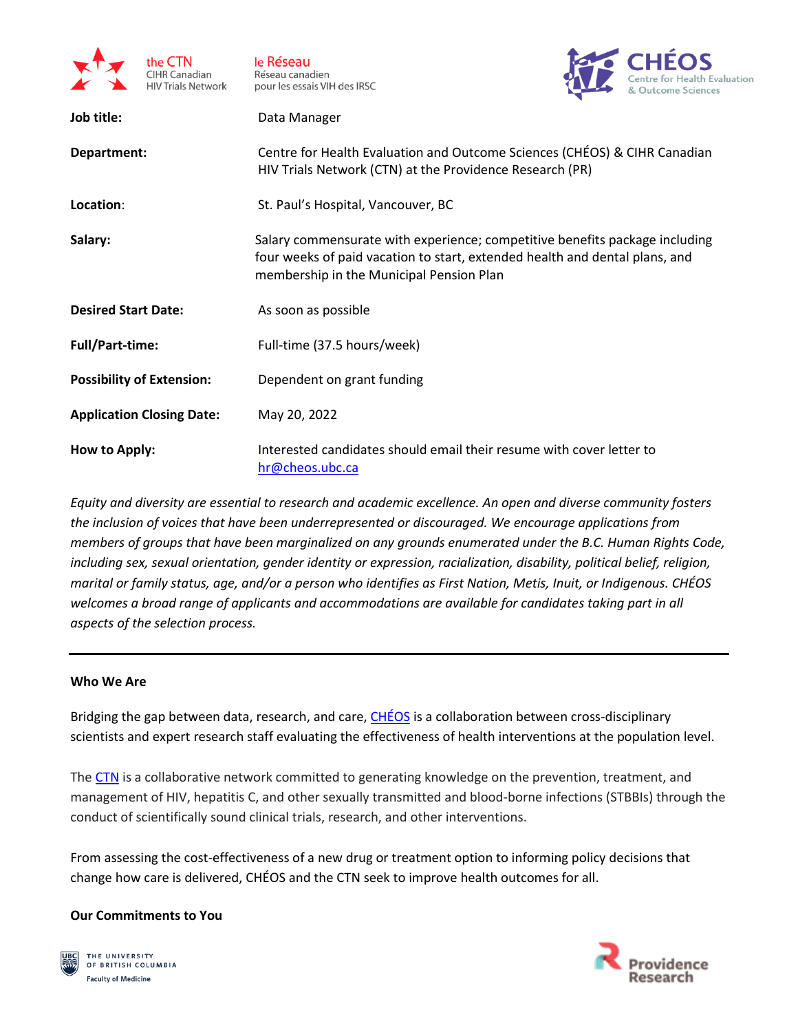

le Réseau Réseau canadien pour les essais VIH des IRSC



| Job title:                       | Data Manager                                                                                                                                                                                           |
|----------------------------------|--------------------------------------------------------------------------------------------------------------------------------------------------------------------------------------------------------|
| Department:                      | Centre for Health Evaluation and Outcome Sciences (CHÉOS) & CIHR Canadian<br>HIV Trials Network (CTN) at the Providence Research (PR)                                                                  |
| Location:                        | St. Paul's Hospital, Vancouver, BC                                                                                                                                                                     |
| Salary:                          | Salary commensurate with experience; competitive benefits package including<br>four weeks of paid vacation to start, extended health and dental plans, and<br>membership in the Municipal Pension Plan |
| <b>Desired Start Date:</b>       | As soon as possible                                                                                                                                                                                    |
| <b>Full/Part-time:</b>           | Full-time (37.5 hours/week)                                                                                                                                                                            |
| <b>Possibility of Extension:</b> | Dependent on grant funding                                                                                                                                                                             |
| <b>Application Closing Date:</b> | May 20, 2022                                                                                                                                                                                           |
| How to Apply:                    | Interested candidates should email their resume with cover letter to<br>hr@cheos.ubc.ca                                                                                                                |

*Equity and diversity are essential to research and academic excellence. An open and diverse community fosters the inclusion of voices that have been underrepresented or discouraged. We encourage applications from members of groups that have been marginalized on any grounds enumerated under the B.C. Human Rights Code, including sex, sexual orientation, gender identity or expression, racialization, disability, political belief, religion, marital or family status, age, and/or a person who identifies as First Nation, Metis, Inuit, or Indigenous. CHÉOS welcomes a broad range of applicants and accommodations are available for candidates taking part in all aspects of the selection process.*

## **Who We Are**

Bridging the gap between data, research, and care, [CHÉOS](https://www.cheos.ubc.ca/) is a collaboration between cross-disciplinary scientists and expert research staff evaluating the effectiveness of health interventions at the population level.

The [CTN](https://www.hivnet.ubc.ca/) is a collaborative network committed to generating knowledge on the prevention, treatment, and management of HIV, hepatitis C, and other sexually transmitted and blood-borne infections (STBBIs) through the conduct of scientifically sound clinical trials, research, and other interventions.

From assessing the cost-effectiveness of a new drug or treatment option to informing policy decisions that change how care is delivered, CHÉOS and the CTN seek to improve health outcomes for all.

## **Our Commitments to You**



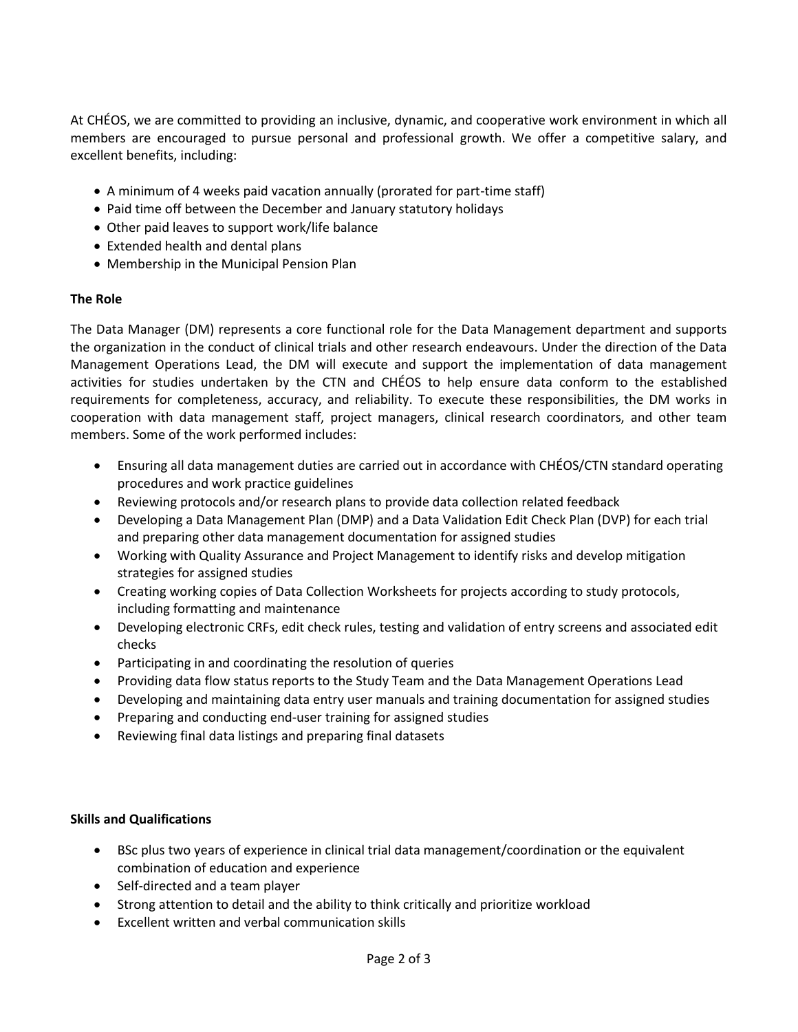At CHÉOS, we are committed to providing an inclusive, dynamic, and cooperative work environment in which all members are encouraged to pursue personal and professional growth. We offer a competitive salary, and excellent benefits, including:

- A minimum of 4 weeks paid vacation annually (prorated for part-time staff)
- Paid time off between the December and January statutory holidays
- Other paid leaves to support work/life balance
- Extended health and dental plans
- Membership in the Municipal Pension Plan

## **The Role**

The Data Manager (DM) represents a core functional role for the Data Management department and supports the organization in the conduct of clinical trials and other research endeavours. Under the direction of the Data Management Operations Lead, the DM will execute and support the implementation of data management activities for studies undertaken by the CTN and CHÉOS to help ensure data conform to the established requirements for completeness, accuracy, and reliability. To execute these responsibilities, the DM works in cooperation with data management staff, project managers, clinical research coordinators, and other team members. Some of the work performed includes:

- Ensuring all data management duties are carried out in accordance with CHÉOS/CTN standard operating procedures and work practice guidelines
- Reviewing protocols and/or research plans to provide data collection related feedback
- Developing a Data Management Plan (DMP) and a Data Validation Edit Check Plan (DVP) for each trial and preparing other data management documentation for assigned studies
- Working with Quality Assurance and Project Management to identify risks and develop mitigation strategies for assigned studies
- Creating working copies of Data Collection Worksheets for projects according to study protocols, including formatting and maintenance
- Developing electronic CRFs, edit check rules, testing and validation of entry screens and associated edit checks
- Participating in and coordinating the resolution of queries
- Providing data flow status reports to the Study Team and the Data Management Operations Lead
- Developing and maintaining data entry user manuals and training documentation for assigned studies
- Preparing and conducting end-user training for assigned studies
- Reviewing final data listings and preparing final datasets

## **Skills and Qualifications**

- BSc plus two years of experience in clinical trial data management/coordination or the equivalent combination of education and experience
- Self-directed and a team player
- Strong attention to detail and the ability to think critically and prioritize workload
- Excellent written and verbal communication skills